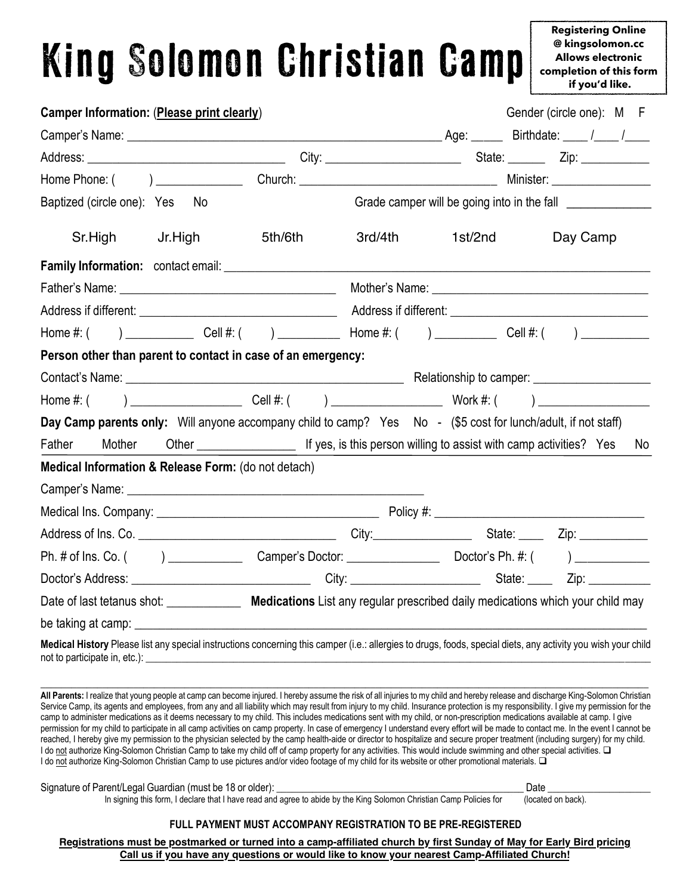# King Solomon Christian Camp

**completion of this form**<br>**if you'd like** @ kingsolomon.cc<br>Allows electronic Form 2019  **if you'd like.Registering Online @ kingsolomon.cc**

| Camper Information: (Please print clearly)                                                                                                                    |         |         |                                                                            | Gender (circle one): M F |
|---------------------------------------------------------------------------------------------------------------------------------------------------------------|---------|---------|----------------------------------------------------------------------------|--------------------------|
|                                                                                                                                                               |         |         |                                                                            |                          |
|                                                                                                                                                               |         |         |                                                                            |                          |
|                                                                                                                                                               |         |         |                                                                            |                          |
| Baptized (circle one): Yes No                                                                                                                                 |         |         |                                                                            |                          |
| Sr.High<br>Jr.High                                                                                                                                            | 5th/6th | 3rd/4th | 1st/2nd                                                                    | Day Camp                 |
|                                                                                                                                                               |         |         |                                                                            |                          |
|                                                                                                                                                               |         |         |                                                                            |                          |
|                                                                                                                                                               |         |         |                                                                            |                          |
| Home #: ( ) ________________ Cell #: ( ) ______________ Home #: ( ) _____________ Cell #: ( ) ____________                                                    |         |         |                                                                            |                          |
| Person other than parent to contact in case of an emergency:                                                                                                  |         |         |                                                                            |                          |
|                                                                                                                                                               |         |         |                                                                            |                          |
| Home #: ( ) ___________________________Cell #: ( ) ______________________________ Work #: ( ) ________________                                                |         |         |                                                                            |                          |
| Day Camp parents only: Will anyone accompany child to camp? Yes No - (\$5 cost for lunch/adult, if not staff)                                                 |         |         |                                                                            |                          |
| Mother Other Cher Chernell If yes, is this person willing to assist with camp activities? Yes<br>Father                                                       |         |         |                                                                            | No.                      |
| Medical Information & Release Form: (do not detach)                                                                                                           |         |         |                                                                            |                          |
|                                                                                                                                                               |         |         |                                                                            |                          |
|                                                                                                                                                               |         |         |                                                                            |                          |
|                                                                                                                                                               |         |         |                                                                            |                          |
|                                                                                                                                                               |         |         |                                                                            |                          |
|                                                                                                                                                               |         |         |                                                                            |                          |
| Date of last tetanus shot: ________________ Medications List any regular prescribed daily medications which your child may                                    |         |         |                                                                            |                          |
| be taking at camp:                                                                                                                                            |         |         | <u> 1989 - Jan James James Barnett, amerikan basar personal (h. 1989).</u> |                          |
| Medical History Please list any special instructions concerning this camper (i.e.: allergies to drugs, foods, special diets, any activity you wish your child |         |         |                                                                            |                          |

**All Parents:** I realize that young people at camp can become injured. I hereby assume the risk of all injuries to my child and hereby release and discharge King-Solomon Christian Service Camp, its agents and employees, from any and all liability which may result from injury to my child. Insurance protection is my responsibility. I give my permission for the camp to administer medications as it deems necessary to my child. This includes medications sent with my child, or non-prescription medications available at camp. I give permission for my child to participate in all camp activities on camp property. In case of emergency I understand every effort will be made to contact me. In the event I cannot be reached, I hereby give my permission to the physician selected by the camp health-aide or director to hospitalize and secure proper treatment (including surgery) for my child. I do not authorize King-Solomon Christian Camp to take my child off of camp property for any activities. This would include swimming and other special activities. I do not authorize King-Solomon Christian Camp to use pictures and/or video footage of my child for its website or other promotional materials.  $\square$ 

| Signature of Parent/Legal Guardian (must be 18 or older):                                                           | Date               |
|---------------------------------------------------------------------------------------------------------------------|--------------------|
| In signing this form, I declare that I have read and agree to abide by the King Solomon Christian Camp Policies for | (located on back). |

#### **FULL PAYMENT MUST ACCOMPANY REGISTRATION TO BE PRE-REGISTERED**

Registrations must be postmarked or turned into a camp-affiliated church by first Sunday of May for Early Bird pricing Call us if you have any questions or would like to know your nearest Camp-Affiliated Church! **Call us if you have any questions or would like to know your nearest Camp-Affiliated Church!**